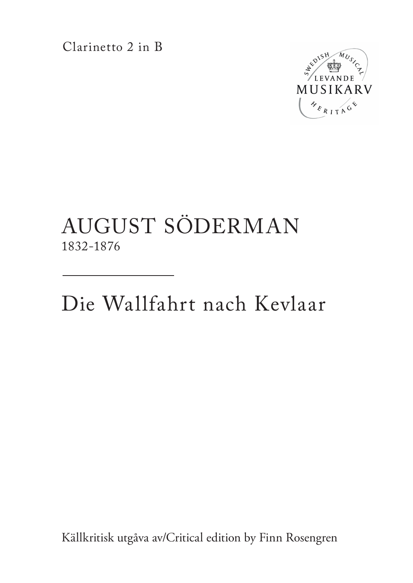Clarinetto 2 in B



## AUGUST SÖDERMAN 1832-1876

Die Wallfahrt nach Kevlaar

Källkritisk utgåva av/Critical edition by Finn Rosengren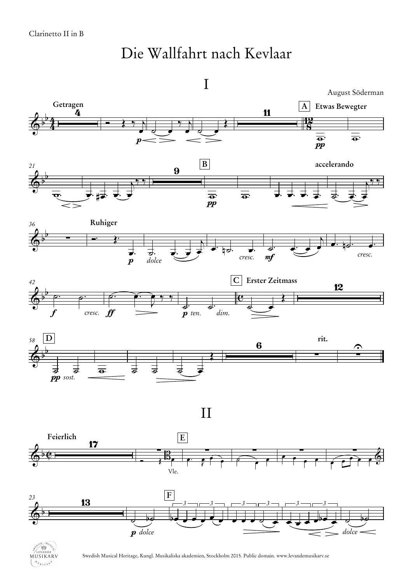## Die Wallfahrt nach Kevlaar

I



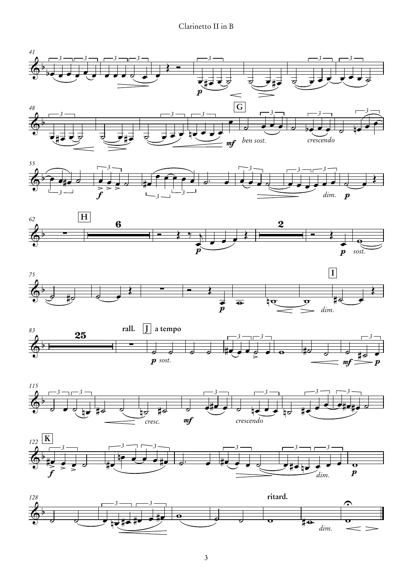## Clarinetto II in B